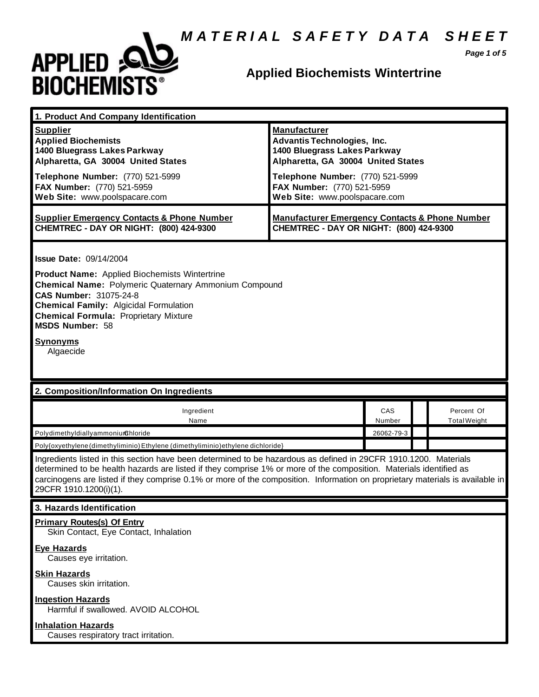## *M A T E R I A L S A F E T Y D A T A S H E E T*



## **Applied Biochemists Wintertrine**

*Page 1 of 5*

| <b>Manufacturer</b><br><b>Supplier</b><br><b>Applied Biochemists</b><br><b>Advantis Technologies, Inc.</b><br>1400 Bluegrass Lakes Parkway<br>1400 Bluegrass Lakes Parkway<br>Alpharetta, GA 30004 United States<br>Alpharetta, GA 30004 United States<br>Telephone Number: (770) 521-5999<br>Telephone Number: (770) 521-5999<br>FAX Number: (770) 521-5959<br>FAX Number: (770) 521-5959<br>Web Site: www.poolspacare.com<br>Web Site: www.poolspacare.com<br><b>Supplier Emergency Contacts &amp; Phone Number</b><br><b>Manufacturer Emergency Contacts &amp; Phone Number</b><br>CHEMTREC - DAY OR NIGHT: (800) 424-9300<br>CHEMTREC - DAY OR NIGHT: (800) 424-9300<br><b>Issue Date: 09/14/2004</b><br><b>Product Name:</b> Applied Biochemists Wintertrine<br><b>Chemical Name: Polymeric Quaternary Ammonium Compound</b><br><b>CAS Number: 31075-24-8</b><br><b>Chemical Family: Algicidal Formulation</b><br><b>Chemical Formula: Proprietary Mixture</b><br><b>MSDS Number: 58</b><br><b>Synonyms</b><br>Algaecide<br>2. Composition/Information On Ingredients<br>Ingredient<br>CAS<br>Percent Of<br>Name<br>Number<br><b>Total Weight</b><br>26062-79-3<br>PolydimethyldiallyammoniumChloride<br>Poly{oxyethylene (dimethyliminio) Ethylene (dimethyliminio) ethylene dichloride}<br>Ingredients listed in this section have been determined to be hazardous as defined in 29CFR 1910.1200. Materials<br>determined to be health hazards are listed if they comprise 1% or more of the composition. Materials identified as<br>carcinogens are listed if they comprise 0.1% or more of the composition. Information on proprietary materials is available in<br>29CFR 1910.1200(i)(1).<br>3. Hazards Identification<br><b>Primary Routes(s) Of Entry</b><br>Skin Contact, Eye Contact, Inhalation<br><b>Eye Hazards</b><br>Causes eye irritation.<br><b>Skin Hazards</b> | 1. Product And Company Identification |  |  |  |  |  |
|---------------------------------------------------------------------------------------------------------------------------------------------------------------------------------------------------------------------------------------------------------------------------------------------------------------------------------------------------------------------------------------------------------------------------------------------------------------------------------------------------------------------------------------------------------------------------------------------------------------------------------------------------------------------------------------------------------------------------------------------------------------------------------------------------------------------------------------------------------------------------------------------------------------------------------------------------------------------------------------------------------------------------------------------------------------------------------------------------------------------------------------------------------------------------------------------------------------------------------------------------------------------------------------------------------------------------------------------------------------------------------------------------------------------------------------------------------------------------------------------------------------------------------------------------------------------------------------------------------------------------------------------------------------------------------------------------------------------------------------------------------------------------------------------------------------------------------------------------------------------------------------|---------------------------------------|--|--|--|--|--|
|                                                                                                                                                                                                                                                                                                                                                                                                                                                                                                                                                                                                                                                                                                                                                                                                                                                                                                                                                                                                                                                                                                                                                                                                                                                                                                                                                                                                                                                                                                                                                                                                                                                                                                                                                                                                                                                                                       |                                       |  |  |  |  |  |
|                                                                                                                                                                                                                                                                                                                                                                                                                                                                                                                                                                                                                                                                                                                                                                                                                                                                                                                                                                                                                                                                                                                                                                                                                                                                                                                                                                                                                                                                                                                                                                                                                                                                                                                                                                                                                                                                                       |                                       |  |  |  |  |  |
|                                                                                                                                                                                                                                                                                                                                                                                                                                                                                                                                                                                                                                                                                                                                                                                                                                                                                                                                                                                                                                                                                                                                                                                                                                                                                                                                                                                                                                                                                                                                                                                                                                                                                                                                                                                                                                                                                       |                                       |  |  |  |  |  |
|                                                                                                                                                                                                                                                                                                                                                                                                                                                                                                                                                                                                                                                                                                                                                                                                                                                                                                                                                                                                                                                                                                                                                                                                                                                                                                                                                                                                                                                                                                                                                                                                                                                                                                                                                                                                                                                                                       |                                       |  |  |  |  |  |
|                                                                                                                                                                                                                                                                                                                                                                                                                                                                                                                                                                                                                                                                                                                                                                                                                                                                                                                                                                                                                                                                                                                                                                                                                                                                                                                                                                                                                                                                                                                                                                                                                                                                                                                                                                                                                                                                                       |                                       |  |  |  |  |  |
|                                                                                                                                                                                                                                                                                                                                                                                                                                                                                                                                                                                                                                                                                                                                                                                                                                                                                                                                                                                                                                                                                                                                                                                                                                                                                                                                                                                                                                                                                                                                                                                                                                                                                                                                                                                                                                                                                       |                                       |  |  |  |  |  |
|                                                                                                                                                                                                                                                                                                                                                                                                                                                                                                                                                                                                                                                                                                                                                                                                                                                                                                                                                                                                                                                                                                                                                                                                                                                                                                                                                                                                                                                                                                                                                                                                                                                                                                                                                                                                                                                                                       |                                       |  |  |  |  |  |
|                                                                                                                                                                                                                                                                                                                                                                                                                                                                                                                                                                                                                                                                                                                                                                                                                                                                                                                                                                                                                                                                                                                                                                                                                                                                                                                                                                                                                                                                                                                                                                                                                                                                                                                                                                                                                                                                                       |                                       |  |  |  |  |  |
|                                                                                                                                                                                                                                                                                                                                                                                                                                                                                                                                                                                                                                                                                                                                                                                                                                                                                                                                                                                                                                                                                                                                                                                                                                                                                                                                                                                                                                                                                                                                                                                                                                                                                                                                                                                                                                                                                       |                                       |  |  |  |  |  |
|                                                                                                                                                                                                                                                                                                                                                                                                                                                                                                                                                                                                                                                                                                                                                                                                                                                                                                                                                                                                                                                                                                                                                                                                                                                                                                                                                                                                                                                                                                                                                                                                                                                                                                                                                                                                                                                                                       |                                       |  |  |  |  |  |
|                                                                                                                                                                                                                                                                                                                                                                                                                                                                                                                                                                                                                                                                                                                                                                                                                                                                                                                                                                                                                                                                                                                                                                                                                                                                                                                                                                                                                                                                                                                                                                                                                                                                                                                                                                                                                                                                                       |                                       |  |  |  |  |  |
|                                                                                                                                                                                                                                                                                                                                                                                                                                                                                                                                                                                                                                                                                                                                                                                                                                                                                                                                                                                                                                                                                                                                                                                                                                                                                                                                                                                                                                                                                                                                                                                                                                                                                                                                                                                                                                                                                       |                                       |  |  |  |  |  |
|                                                                                                                                                                                                                                                                                                                                                                                                                                                                                                                                                                                                                                                                                                                                                                                                                                                                                                                                                                                                                                                                                                                                                                                                                                                                                                                                                                                                                                                                                                                                                                                                                                                                                                                                                                                                                                                                                       | Causes skin irritation.               |  |  |  |  |  |
| <b>Ingestion Hazards</b><br>Harmful if swallowed. AVOID ALCOHOL                                                                                                                                                                                                                                                                                                                                                                                                                                                                                                                                                                                                                                                                                                                                                                                                                                                                                                                                                                                                                                                                                                                                                                                                                                                                                                                                                                                                                                                                                                                                                                                                                                                                                                                                                                                                                       |                                       |  |  |  |  |  |
|                                                                                                                                                                                                                                                                                                                                                                                                                                                                                                                                                                                                                                                                                                                                                                                                                                                                                                                                                                                                                                                                                                                                                                                                                                                                                                                                                                                                                                                                                                                                                                                                                                                                                                                                                                                                                                                                                       |                                       |  |  |  |  |  |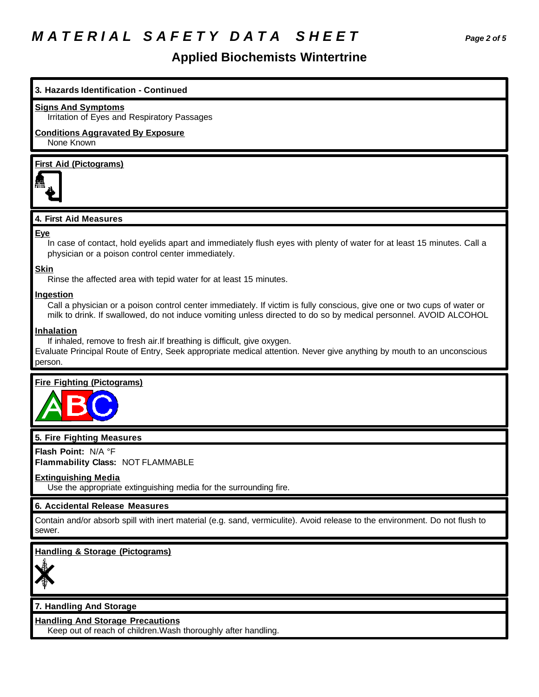# *M A T E R I A L S A F E T Y D A T A S H E E T Page 2 of 5*

## **Applied Biochemists Wintertrine**

## **3. Hazards Identification - Continued**

### **Signs And Symptoms**

Irritation of Eyes and Respiratory Passages

## **Conditions Aggravated By Exposure**

None Known

## **First Aid (Pictograms)**



## **4. First Aid Measures**

### **Eye**

In case of contact, hold eyelids apart and immediately flush eyes with plenty of water for at least 15 minutes. Call a physician or a poison control center immediately.

### **Skin**

Rinse the affected area with tepid water for at least 15 minutes.

### **Ingestion**

Call a physician or a poison control center immediately. If victim is fully conscious, give one or two cups of water or milk to drink. If swallowed, do not induce vomiting unless directed to do so by medical personnel. AVOID ALCOHOL

### **Inhalation**

If inhaled, remove to fresh air.If breathing is difficult, give oxygen.

Evaluate Principal Route of Entry, Seek appropriate medical attention. Never give anything by mouth to an unconscious person.

## **Fire Fighting (Pictograms)**



## **5. Fire Fighting Measures**

**Flash Point:** N/A °F

**Flammability Class:** NOT FLAMMABLE

## **Extinguishing Media**

Use the appropriate extinguishing media for the surrounding fire.

## **6. Accidental Release Measures**

Contain and/or absorb spill with inert material (e.g. sand, vermiculite). Avoid release to the environment. Do not flush to sewer.

## **Handling & Storage (Pictograms)**



## **7. Handling And Storage**

**Handling And Storage Precautions**

Keep out of reach of children.Wash thoroughly after handling.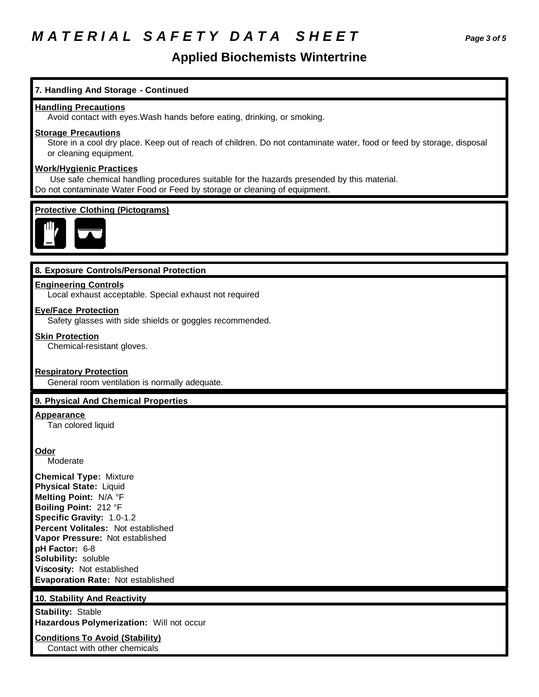## *M A T E R I A L S A F E T Y D A T A S H E E T Page 3 of 5*

## **Applied Biochemists Wintertrine**

## **7. Handling And Storage - Continued**

## **Handling Precautions**

Avoid contact with eyes.Wash hands before eating, drinking, or smoking.

## **Storage Precautions**

Store in a cool dry place. Keep out of reach of children. Do not contaminate water, food or feed by storage, disposal or cleaning equipment.

## **Work/Hygienic Practices**

 Use safe chemical handling procedures suitable for the hazards presended by this material. Do not contaminate Water Food or Feed by storage or cleaning of equipment.

## **Protective Clothing (Pictograms)**



## **8. Exposure Controls/Personal Protection**

## **Engineering Controls**

Local exhaust acceptable. Special exhaust not required

### **Eye/Face Protection**

Safety glasses with side shields or goggles recommended.

#### **Skin Protection**

Chemical-resistant gloves.

## **Respiratory Protection**

General room ventilation is normally adequate.

## **9. Physical And Chemical Properties**

### **Appearance**

Tan colored liquid

### **Odor**

Moderate

**Chemical Type:** Mixture **Physical State:** Liquid **Melting Point:** N/A °F **Boiling Point:** 212 °F **Specific Gravity:** 1.0-1.2 **Percent Volitales:** Not established **Vapor Pressure:** Not established **pH Factor:** 6-8 **Solubility:** soluble **Viscosity:** Not established **Evaporation Rate:** Not established

## **10. Stability And Reactivity**

**Stability:** Stable **Hazardous Polymerization:** Will not occur

**Conditions To Avoid (Stability)** Contact with other chemicals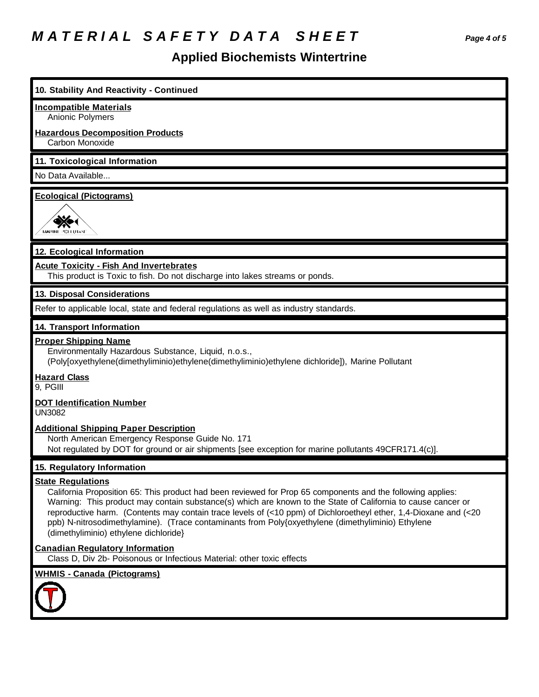# *M A T E R I A L S A F E T Y D A T A S H E E T Page 4 of 5*

# **Applied Biochemists Wintertrine**

| 10. Stability And Reactivity - Continued                                                                                                                                                                                                                                                                                                                                                                                                                                                                                  |
|---------------------------------------------------------------------------------------------------------------------------------------------------------------------------------------------------------------------------------------------------------------------------------------------------------------------------------------------------------------------------------------------------------------------------------------------------------------------------------------------------------------------------|
| <b>Incompatible Materials</b>                                                                                                                                                                                                                                                                                                                                                                                                                                                                                             |
| Anionic Polymers<br><b>Hazardous Decomposition Products</b>                                                                                                                                                                                                                                                                                                                                                                                                                                                               |
| Carbon Monoxide                                                                                                                                                                                                                                                                                                                                                                                                                                                                                                           |
| 11. Toxicological Information                                                                                                                                                                                                                                                                                                                                                                                                                                                                                             |
| No Data Available                                                                                                                                                                                                                                                                                                                                                                                                                                                                                                         |
| <b>Ecological (Pictograms)</b><br>MARINE POLLUTAN                                                                                                                                                                                                                                                                                                                                                                                                                                                                         |
| 12. Ecological Information                                                                                                                                                                                                                                                                                                                                                                                                                                                                                                |
| <b>Acute Toxicity - Fish And Invertebrates</b><br>This product is Toxic to fish. Do not discharge into lakes streams or ponds.                                                                                                                                                                                                                                                                                                                                                                                            |
| 13. Disposal Considerations                                                                                                                                                                                                                                                                                                                                                                                                                                                                                               |
| Refer to applicable local, state and federal regulations as well as industry standards.                                                                                                                                                                                                                                                                                                                                                                                                                                   |
| 14. Transport Information                                                                                                                                                                                                                                                                                                                                                                                                                                                                                                 |
| <b>Proper Shipping Name</b><br>Environmentally Hazardous Substance, Liquid, n.o.s.,<br>(Poly[oxyethylene(dimethyliminio)ethylene(dimethyliminio)ethylene dichloride]), Marine Pollutant<br><b>Hazard Class</b>                                                                                                                                                                                                                                                                                                            |
| 9, PGIII                                                                                                                                                                                                                                                                                                                                                                                                                                                                                                                  |
| <b>DOT Identification Number</b><br><b>UN3082</b>                                                                                                                                                                                                                                                                                                                                                                                                                                                                         |
| <b>Additional Shipping Paper Description</b><br>North American Emergency Response Guide No. 171<br>Not regulated by DOT for ground or air shipments [see exception for marine pollutants 49CFR171.4(c)].                                                                                                                                                                                                                                                                                                                  |
| 15. Regulatory Information                                                                                                                                                                                                                                                                                                                                                                                                                                                                                                |
| <b>State Regulations</b><br>California Proposition 65: This product had been reviewed for Prop 65 components and the following applies:<br>Warning: This product may contain substance(s) which are known to the State of California to cause cancer or<br>reproductive harm. (Contents may contain trace levels of (<10 ppm) of Dichloroetheyl ether, 1,4-Dioxane and (<20<br>ppb) N-nitrosodimethylamine). (Trace contaminants from Poly{oxyethylene (dimethyliminio) Ethylene<br>(dimethyliminio) ethylene dichloride} |
| <b>Canadian Regulatory Information</b><br>Class D, Div 2b- Poisonous or Infectious Material: other toxic effects                                                                                                                                                                                                                                                                                                                                                                                                          |
| <b>WHMIS - Canada (Pictograms)</b>                                                                                                                                                                                                                                                                                                                                                                                                                                                                                        |